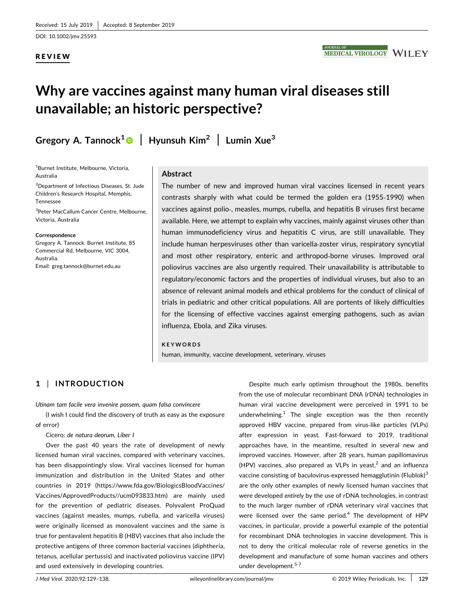DOI: 10.1002/jmv.25593

### REVIEW

# Why are vaccines against many human viral diseases still unavailable; an historic perspective?

Gregory A. Tannock<sup>[1](http://orcid.org/0000-0001-9629-1460)</sup> | Hyunsuh Kim<sup>2</sup> | Lumin Xue<sup>3</sup>

1 Burnet Institute, Melbourne, Victoria, Australia

<sup>2</sup>Department of Infectious Diseases, St. Jude Children's Research Hospital, Memphis, Tennessee

<sup>3</sup>Peter MacCallum Cancer Centre, Melbourne, Victoria, Australia

#### Correspondence

Gregory A. Tannock. Burnet Institute, 85 Commercial Rd, Melbourne, VIC 3004, Australia. Email: [greg.tannock@burnet.edu.au](mailto:greg.tannock@burnet.edu.au)

### Abstract

The number of new and improved human viral vaccines licensed in recent years contrasts sharply with what could be termed the golden era (1955‐1990) when vaccines against polio‐, measles, mumps, rubella, and hepatitis B viruses first became available. Here, we attempt to explain why vaccines, mainly against viruses other than human immunodeficiency virus and hepatitis C virus, are still unavailable. They include human herpesviruses other than varicella‐zoster virus, respiratory syncytial and most other respiratory, enteric and arthropod‐borne viruses. Improved oral poliovirus vaccines are also urgently required. Their unavailability is attributable to regulatory/economic factors and the properties of individual viruses, but also to an absence of relevant animal models and ethical problems for the conduct of clinical of trials in pediatric and other critical populations. All are portents of likely difficulties for the licensing of effective vaccines against emerging pathogens, such as avian influenza, Ebola, and Zika viruses.

#### KEYWORDS

human, immunity, vaccine development, veterinary, viruses

## 1 | INTRODUCTION

Utinam tam facile vera invenire possem, quam falsa convincere

(I wish I could find the discovery of truth as easy as the exposure of error)

#### Cicero: de natura deorum, Liber I

Over the past 40 years the rate of development of newly licensed human viral vaccines, compared with veterinary vaccines, has been disappointingly slow. Viral vaccines licensed for human immunization and distribution in the United States and other countries in 2019 ([https://www.fda.gov/BiologicsBloodVaccines/](https://www.fda.gov/BiologicsBloodVaccines/Vaccines/ApprovedProducts//ucm093833.htm) [Vaccines/ApprovedProducts//ucm093833.htm\)](https://www.fda.gov/BiologicsBloodVaccines/Vaccines/ApprovedProducts//ucm093833.htm) are mainly used for the prevention of pediatric diseases. Polyvalent ProQuad vaccines (against measles, mumps, rubella, and varicella viruses) were originally licensed as monovalent vaccines and the same is true for pentavalent hepatitis B (HBV) vaccines that also include the protective antigens of three common bacterial vaccines (diphtheria, tetanus, acellular pertussis) and inactivated poliovirus vaccine (IPV) and used extensively in developing countries.

Despite much early optimism throughout the 1980s, benefits from the use of molecular recombinant DNA (rDNA) technologies in human viral vaccine development were perceived in 1991 to be underwhelming. $1$  The single exception was the then recently approved HBV vaccine, prepared from virus‐like particles (VLPs) after expression in yeast. Fast‐forward to 2019, traditional approaches have, in the meantime, resulted in several new and improved vaccines. However, after 28 years, human papillomavirus (HPV) vaccines, also prepared as VLPs in yeast, $^2$  and an influenza vaccine consisting of baculovirus-expressed hemagglutinin (Flublok) $3$ are the only other examples of newly licensed human vaccines that were developed entirely by the use of rDNA technologies, in contrast to the much larger number of rDNA veterinary viral vaccines that were licensed over the same period.<sup>4</sup> The development of HPV vaccines, in particular, provide a powerful example of the potential for recombinant DNA technologies in vaccine development. This is not to deny the critical molecular role of reverse genetics in the development and manufacture of some human vaccines and others under development.<sup>5-7</sup>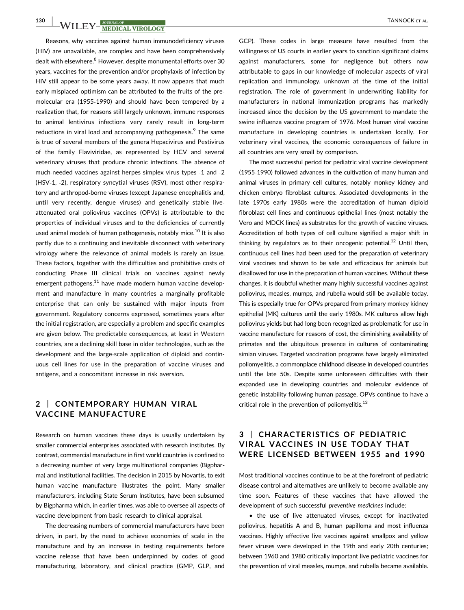Reasons, why vaccines against human immunodeficiency viruses (HIV) are unavailable, are complex and have been comprehensively dealt with elsewhere.<sup>8</sup> However, despite monumental efforts over 30 years, vaccines for the prevention and/or prophylaxis of infection by HIV still appear to be some years away. It now appears that much early misplaced optimism can be attributed to the fruits of the pre‐ molecular era (1955‐1990) and should have been tempered by a realization that, for reasons still largely unknown, immune responses to animal lentivirus infections very rarely result in long‐term reductions in viral load and accompanying pathogenesis.<sup>9</sup> The same is true of several members of the genera Hepacivirus and Pestivirus of the family Flaviviridae, as represented by HCV and several veterinary viruses that produce chronic infections. The absence of much‐needed vaccines against herpes simplex virus types ‐1 and ‐2 (HSV‐1, ‐2), respiratory syncytial viruses (RSV), most other respiratory and arthropod‐borne viruses (except Japanese encephalitis and, until very recently, dengue viruses) and genetically stable liveattenuated oral poliovirus vaccines (OPVs) is attributable to the properties of individual viruses and to the deficiencies of currently used animal models of human pathogenesis, notably mice.<sup>10</sup> It is also partly due to a continuing and inevitable disconnect with veterinary virology where the relevance of animal models is rarely an issue. These factors, together with the difficulties and prohibitive costs of conducting Phase III clinical trials on vaccines against newly emergent pathogens, $11$  have made modern human vaccine development and manufacture in many countries a marginally profitable enterprise that can only be sustained with major inputs from government. Regulatory concerns expressed, sometimes years after the initial registration, are especially a problem and specific examples are given below. The predictable consequences, at least in Western countries, are a declining skill base in older technologies, such as the development and the large‐scale application of diploid and continuous cell lines for use in the preparation of vaccine viruses and antigens, and a concomitant increase in risk aversion.

## 2 | CONTEMPORARY HUMAN VIRAL VACCINE MANUFACTURE

Research on human vaccines these days is usually undertaken by smaller commercial enterprises associated with research institutes. By contrast, commercial manufacture in first world countries is confined to a decreasing number of very large multinational companies (Bigpharma) and institutional facilities. The decision in 2015 by Novartis, to exit human vaccine manufacture illustrates the point. Many smaller manufacturers, including State Serum Institutes, have been subsumed by Bigpharma which, in earlier times, was able to oversee all aspects of vaccine development from basic research to clinical appraisal.

The decreasing numbers of commercial manufacturers have been driven, in part, by the need to achieve economies of scale in the manufacture and by an increase in testing requirements before vaccine release that have been underpinned by codes of good manufacturing, laboratory, and clinical practice (GMP, GLP, and

GCP). These codes in large measure have resulted from the willingness of US courts in earlier years to sanction significant claims against manufacturers, some for negligence but others now attributable to gaps in our knowledge of molecular aspects of viral replication and immunology, unknown at the time of the initial registration. The role of government in underwriting liability for manufacturers in national immunization programs has markedly increased since the decision by the US government to mandate the swine influenza vaccine program of 1976. Most human viral vaccine manufacture in developing countries is undertaken locally. For veterinary viral vaccines, the economic consequences of failure in all countries are very small by comparison.

The most successful period for pediatric viral vaccine development (1955‐1990) followed advances in the cultivation of many human and animal viruses in primary cell cultures, notably monkey kidney and chicken embryo fibroblast cultures. Associated developments in the late 1970s early 1980s were the accreditation of human diploid fibroblast cell lines and continuous epithelial lines (most notably the Vero and MDCK lines) as substrates for the growth of vaccine viruses. Accreditation of both types of cell culture signified a major shift in thinking by regulators as to their oncogenic potential.<sup>12</sup> Until then, continuous cell lines had been used for the preparation of veterinary viral vaccines and shown to be safe and efficacious for animals but disallowed for use in the preparation of human vaccines. Without these changes, it is doubtful whether many highly successful vaccines against poliovirus, measles, mumps, and rubella would still be available today. This is especially true for OPVs prepared from primary monkey kidney epithelial (MK) cultures until the early 1980s. MK cultures allow high poliovirus yields but had long been recognized as problematic for use in vaccine manufacture for reasons of cost, the diminishing availability of primates and the ubiquitous presence in cultures of contaminating simian viruses. Targeted vaccination programs have largely eliminated poliomyelitis, a commonplace childhood disease in developed countries until the late 50s. Despite some unforeseen difficulties with their expanded use in developing countries and molecular evidence of genetic instability following human passage, OPVs continue to have a critical role in the prevention of poliomyelitis. $^{13}$ 

## 3 | CHARACTERISTICS OF PEDIATRIC VIRAL VACCINES IN USE TODAY THAT WERE LICENSED BETWEEN 1955 and 1990

Most traditional vaccines continue to be at the forefront of pediatric disease control and alternatives are unlikely to become available any time soon. Features of these vaccines that have allowed the development of such successful preventive medicines include:

• the use of live attenuated viruses, except for inactivated poliovirus, hepatitis A and B, human papilloma and most influenza vaccines. Highly effective live vaccines against smallpox and yellow fever viruses were developed in the 19th and early 20th centuries; between 1960 and 1980 critically important live pediatric vaccines for the prevention of viral measles, mumps, and rubella became available.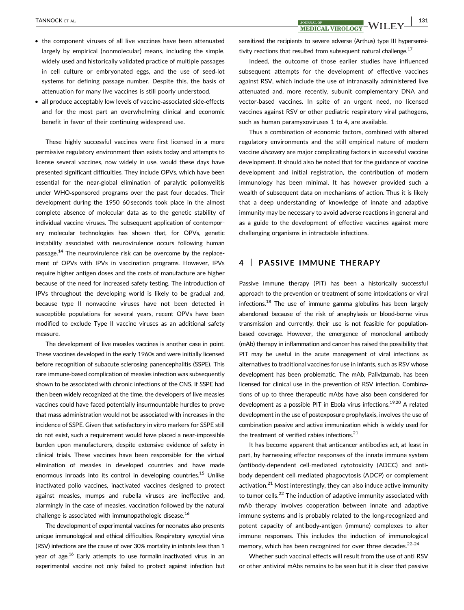- the component viruses of all live vaccines have been attenuated largely by empirical (nonmolecular) means, including the simple, widely‐used and historically validated practice of multiple passages in cell culture or embryonated eggs, and the use of seed‐lot systems for defining passage number. Despite this, the basis of attenuation for many live vaccines is still poorly understood.
- all produce acceptably low levels of vaccine‐associated side‐effects and for the most part an overwhelming clinical and economic benefit in favor of their continuing widespread use.

These highly successful vaccines were first licensed in a more permissive regulatory environment than exists today and attempts to license several vaccines, now widely in use, would these days have presented significant difficulties. They include OPVs, which have been essential for the near‐global elimination of paralytic poliomyelitis under WHO‐sponsored programs over the past four decades. Their development during the 1950 60 seconds took place in the almost complete absence of molecular data as to the genetic stability of individual vaccine viruses. The subsequent application of contemporary molecular technologies has shown that, for OPVs, genetic instability associated with neurovirulence occurs following human passage.<sup>14</sup> The neurovirulence risk can be overcome by the replacement of OPVs with IPVs in vaccination programs. However, IPVs require higher antigen doses and the costs of manufacture are higher because of the need for increased safety testing. The introduction of IPVs throughout the developing world is likely to be gradual and, because type II nonvaccine viruses have not been detected in susceptible populations for several years, recent OPVs have been modified to exclude Type II vaccine viruses as an additional safety measure.

The development of live measles vaccines is another case in point. These vaccines developed in the early 1960s and were initially licensed before recognition of subacute sclerosing panencephalitis (SSPE). This rare immune‐based complication of measles infection was subsequently shown to be associated with chronic infections of the CNS. If SSPE had then been widely recognized at the time, the developers of live measles vaccines could have faced potentially insurmountable hurdles to prove that mass administration would not be associated with increases in the incidence of SSPE. Given that satisfactory in vitro markers for SSPE still do not exist, such a requirement would have placed a near‐impossible burden upon manufacturers, despite extensive evidence of safety in clinical trials. These vaccines have been responsible for the virtual elimination of measles in developed countries and have made enormous inroads into its control in developing countries.<sup>15</sup> Unlike inactivated polio vaccines, inactivated vaccines designed to protect against measles, mumps and rubella viruses are ineffective and, alarmingly in the case of measles, vaccination followed by the natural challenge is associated with immunopathologic disease.<sup>16</sup>

The development of experimental vaccines for neonates also presents unique immunological and ethical difficulties. Respiratory syncytial virus (RSV) infections are the cause of over 30% mortality in infants less than 1 year of age.<sup>16</sup> Early attempts to use formalin-inactivated virus in an experimental vaccine not only failed to protect against infection but

TANNOCK ET AL. | 131

sensitized the recipients to severe adverse (Arthus) type III hypersensitivity reactions that resulted from subsequent natural challenge. $17$ 

Indeed, the outcome of those earlier studies have influenced subsequent attempts for the development of effective vaccines against RSV, which include the use of intranasally‐administered live attenuated and, more recently, subunit complementary DNA and vector‐based vaccines. In spite of an urgent need, no licensed vaccines against RSV or other pediatric respiratory viral pathogens, such as human paramyxoviruses 1 to 4, are available.

Thus a combination of economic factors, combined with altered regulatory environments and the still empirical nature of modern vaccine discovery are major complicating factors in successful vaccine development. It should also be noted that for the guidance of vaccine development and initial registration, the contribution of modern immunology has been minimal. It has however provided such a wealth of subsequent data on mechanisms of action. Thus it is likely that a deep understanding of knowledge of innate and adaptive immunity may be necessary to avoid adverse reactions in general and as a guide to the development of effective vaccines against more challenging organisms in intractable infections.

## 4 | PASSIVE IMMUNE THERAPY

Passive immune therapy (PIT) has been a historically successful approach to the prevention or treatment of some intoxications or viral infections.<sup>18</sup> The use of immune gamma globulins has been largely abandoned because of the risk of anaphylaxis or blood‐borne virus transmission and currently, their use is not feasible for population‐ based coverage. However, the emergence of monoclonal antibody (mAb) therapy in inflammation and cancer has raised the possibility that PIT may be useful in the acute management of viral infections as alternatives to traditional vaccines for use in infants, such as RSV whose development has been problematic. The mAb, Palivizumab, has been licensed for clinical use in the prevention of RSV infection. Combinations of up to three therapeutic mAbs have also been considered for development as a possible PIT in Ebola virus infections.<sup>19,20</sup> A related development in the use of postexposure prophylaxis, involves the use of combination passive and active immunization which is widely used for the treatment of verified rabies infections. $21$ 

It has become apparent that anticancer antibodies act, at least in part, by harnessing effector responses of the innate immune system (antibody‐dependent cell‐mediated cytotoxicity (ADCC) and antibody‐dependent cell‐mediated phagocytosis (ADCP) or complement activation. $21$  Most interestingly, they can also induce active immunity to tumor cells.<sup>22</sup> The induction of adaptive immunity associated with mAb therapy involves cooperation between innate and adaptive immune systems and is probably related to the long-recognized and potent capacity of antibody‐antigen (immune) complexes to alter immune responses. This includes the induction of immunological memory, which has been recognized for over three decades.<sup>22-24</sup>

Whether such vaccinal effects will result from the use of anti‐RSV or other antiviral mAbs remains to be seen but it is clear that passive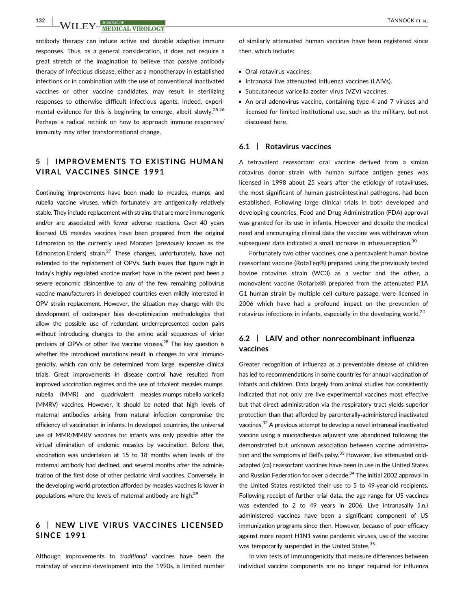132 WILEY MEDICAL VIROLOGY TANNOCK ET AL.

antibody therapy can induce active and durable adaptive immune responses. Thus, as a general consideration, it does not require a great stretch of the imagination to believe that passive antibody therapy of infectious disease, either as a monotherapy in established infections or in combination with the use of conventional inactivated vaccines or other vaccine candidates, may result in sterilizing responses to otherwise difficult infectious agents. Indeed, experimental evidence for this is beginning to emerge, albeit slowly.<sup>25,26</sup> Perhaps a radical rethink on how to approach immune responses/ immunity may offer transformational change.

## 5 | IMPROVEMENTS TO EXISTING HUMAN VIRAL VACCINES SINCE 1991

Continuing improvements have been made to measles, mumps, and rubella vaccine viruses, which fortunately are antigenically relatively stable. They include replacement with strains that are more immunogenic and/or are associated with fewer adverse reactions. Over 40 years licensed US measles vaccines have been prepared from the original Edmonston to the currently used Moraten (previously known as the Edmonston-Enders) strain.<sup>27</sup> These changes, unfortunately, have not extended to the replacement of OPVs. Such issues that figure high in today's highly regulated vaccine market have in the recent past been a severe economic disincentive to any of the few remaining poliovirus vaccine manufacturers in developed countries even mildly interested in OPV strain replacement. However, the situation may change with the development of codon‐pair bias de‐optimization methodologies that allow the possible use of redundant underrepresented codon pairs without introducing changes to the amino acid sequences of virion proteins of OPVs or other live vaccine viruses. $^{28}$  The key question is whether the introduced mutations result in changes to viral immunogenicity, which can only be determined from large, expensive clinical trials. Great improvements in disease control have resulted from improved vaccination regimes and the use of trivalent measles-mumpsrubella (MMR) and quadrivalent measles‐mumps‐rubella‐varicella (MMRV) vaccines. However, it should be noted that high levels of maternal antibodies arising from natural infection compromise the efficiency of vaccination in infants. In developed countries, the universal use of MMR/MMRV vaccines for infants was only possible after the virtual elimination of endemic measles by vaccination. Before that, vaccination was undertaken at 15 to 18 months when levels of the maternal antibody had declined, and several months after the administration of the first dose of other pediatric viral vaccines. Conversely, in the developing world protection afforded by measles vaccines is lower in populations where the levels of maternal antibody are high.<sup>29</sup>

## 6 | NEW LIVE VIRUS VACCINES LICENSED SINCE 1991

Although improvements to traditional vaccines have been the mainstay of vaccine development into the 1990s, a limited number

of similarly attenuated human vaccines have been registered since then, which include:

- Oral rotavirus vaccines.
- Intranasal live attenuated influenza vaccines (LAIVs).
- Subcutaneous varicella‐zoster virus (VZV) vaccines.
- An oral adenovirus vaccine, containing type 4 and 7 viruses and licensed for limited institutional use, such as the military, but not discussed here.

#### 6.1 | Rotavirus vaccines

A tetravalent reassortant oral vaccine derived from a simian rotavirus donor strain with human surface antigen genes was licensed in 1998 about 25 years after the etiology of rotaviruses, the most significant of human gastrointestinal pathogens, had been established. Following large clinical trials in both developed and developing countries, Food and Drug Administration (FDA) approval was granted for its use in infants. However and despite the medical need and encouraging clinical data the vaccine was withdrawn when subsequent data indicated a small increase in intussusception.<sup>30</sup>

Fortunately two other vaccines, one a pentavalent human‐bovine reassortant vaccine (RotaTeq®) prepared using the previously tested bovine rotavirus strain (WC3) as a vector and the other, a monovalent vaccine (Rotarix®) prepared from the attenuated P1A G1 human strain by multiple cell culture passage, were licensed in 2006 which have had a profound impact on the prevention of rotavirus infections in infants, especially in the developing world. $31$ 

## 6.2 | LAIV and other nonrecombinant influenza vaccines

Greater recognition of influenza as a preventable disease of children has led to recommendations in some countries for annual vaccination of infants and children. Data largely from animal studies has consistently indicated that not only are live experimental vaccines most effective but that direct administration via the respiratory tract yields superior protection than that afforded by parenterally‐administered inactivated vaccines.32 A previous attempt to develop a novel intranasal inactivated vaccine using a mucoadhesive adjuvant was abandoned following the demonstrated but unknown association between vaccine administration and the symptoms of Bell's palsy. $33$  However, live attenuated coldadapted (ca) reassortant vaccines have been in use in the United States and Russian Federation for over a decade.<sup>34</sup> The initial 2002 approval in the United States restricted their use to 5 to 49‐year‐old recipients. Following receipt of further trial data, the age range for US vaccines was extended to 2 to 49 years in 2006. Live intranasally (i.n.) administered vaccines have been a significant component of US immunization programs since then. However, because of poor efficacy against more recent H1N1 swine pandemic viruses, use of the vaccine was temporarily suspended in the United States.<sup>35</sup>

In vivo tests of immunogenicity that measure differences between individual vaccine components are no longer required for influenza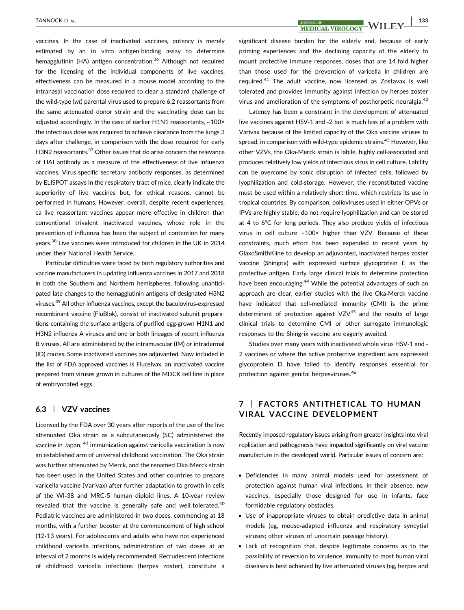vaccines. In the case of inactivated vaccines, potency is merely estimated by an in vitro antigen‐binding assay to determine hemagglutinin (HA) antigen concentration.<sup>36</sup> Although not required for the licensing of the individual components of live vaccines, effectiveness can be measured in a mouse model according to the intranasal vaccination dose required to clear a standard challenge of the wild‐type (wt) parental virus used to prepare 6:2 reassortants from the same attenuated donor strain and the vaccinating dose can be adjusted accordingly. In the case of earlier H1N1 reassortants, ~100× the infectious dose was required to achieve clearance from the lungs 3 days after challenge, in comparison with the dose required for early H3N2 reassortants.<sup>37</sup> Other issues that do arise concern the relevance of HAI antibody as a measure of the effectiveness of live influenza vaccines. Virus‐specific secretary antibody responses, as determined by ELISPOT assays in the respiratory tract of mice, clearly indicate the superiority of live vaccines but, for ethical reasons, cannot be performed in humans. However, overall, despite recent experiences, ca live reassortant vaccines appear more effective in children than conventional trivalent inactivated vaccines, whose role in the prevention of influenza has been the subject of contention for many years.38 Live vaccines were introduced for children in the UK in 2014 under their National Health Service.

Particular difficulties were faced by both regulatory authorities and vaccine manufacturers in updating influenza vaccines in 2017 and 2018 in both the Southern and Northern hemispheres, following unanticipated late changes to the hemagglutinin antigens of designated H3N2 viruses.39 All other influenza vaccines, except the baculovirus‐expressed recombinant vaccine (FluBlok), consist of inactivated subunit preparations containing the surface antigens of purified egg-grown H1N1 and H3N2 influenza A viruses and one or both lineages of recent influenza B viruses. All are administered by the intramuscular (IM) or intradermal (ID) routes. Some inactivated vaccines are adjuvanted. Now included in the list of FDA‐approved vaccines is Flucelvax, an inactivated vaccine prepared from viruses grown in cultures of the MDCK cell line in place of embryonated eggs.

### 6.3 | VZV vaccines

Licensed by the FDA over 30 years after reports of the use of the live attenuated Oka strain as a subcutaneously (SC) administered the vaccine in Japan, <sup>41</sup> immunization against varicella vaccination is now an established arm of universal childhood vaccination. The Oka strain was further attenuated by Merck, and the renamed Oka‐Merck strain has been used in the United States and other countries to prepare varicella vaccine (Varivax) after further adaptation to growth in cells of the WI‐38 and MRC‐5 human diploid lines. A 10‐year review revealed that the vaccine is generally safe and well-tolerated.<sup>40</sup> Pediatric vaccines are administered in two doses, commencing at 18 months, with a further booster at the commencement of high school (12‐13 years). For adolescents and adults who have not experienced childhood varicella infections, administration of two doses at an interval of 2 months is widely recommended. Recrudescent infections of childhood varicella infections (herpes zoster), constitute a

TANNOCK ET AL.  $\begin{array}{|c|c|c|c|c|}\hline {\rm JOLNAL OF} & {\rm JOLNAL OF} \ \hline \end{array} {\rm MEDICAL VIROLOGY} - {\rm WILEY} \begin{array}{|c|c|c|c|c|c|c|c} \hline {\rm J133} & {\rm J133} \ \hline \end{array}$ 

significant disease burden for the elderly and, because of early priming experiences and the declining capacity of the elderly to mount protective immune responses, doses that are 14‐fold higher than those used for the prevention of varicella in children are required.41 The adult vaccine, now licensed as Zostavax is well tolerated and provides immunity against infection by herpes zoster virus and amelioration of the symptoms of postherpetic neuralgia.<sup>42</sup>

Latency has been a constraint in the development of attenuated live vaccines against HSV‐1 and ‐2 but is much less of a problem with Varivax because of the limited capacity of the Oka vaccine viruses to spread, in comparison with wild-type epidemic strains.<sup>43</sup> However, like other VZVs, the Oka‐Merck strain is labile, highly cell‐associated and produces relatively low yields of infectious virus in cell culture. Lability can be overcome by sonic disruption of infected cells, followed by lyophilization and cold‐storage. However, the reconstituted vaccine must be used within a relatively short time, which restricts its use in tropical countries. By comparison, polioviruses used in either OPVs or IPVs are highly stable, do not require lyophilization and can be stored at 4 to 6°C for long periods. They also produce yields of infectious virus in cell culture ~100× higher than VZV. Because of these constraints, much effort has been expended in recent years by GlaxoSmithKline to develop an adjuvanted, inactivated herpes zoster vaccine (Shingrix) with expressed surface glycoprotein E as the protective antigen. Early large clinical trials to determine protection have been encouraging.<sup>44</sup> While the potential advantages of such an approach are clear, earlier studies with the live Oka‐Merck vaccine have indicated that cell-mediated immunity (CMI) is the prime determinant of protection against  $VZV^{45}$  and the results of large clinical trials to determine CMI or other surrogate immunologic responses to the Shingrix vaccine are eagerly awaited.

Studies over many years with inactivated whole virus HSV‐1 and ‐ 2 vaccines or where the active protective ingredient was expressed glycoprotein D have failed to identify responses essential for protection against genital herpesviruses.46

## 7 | FACTORS ANTITHETICAL TO HUMAN VIRAL VACCINE DEVELOPMENT

Recently imposed regulatory issues arising from greater insights into viral replication and pathogenesis have impacted significantly on viral vaccine manufacture in the developed world. Particular issues of concern are:

- Deficiencies in many animal models used for assessment of protection against human viral infections. In their absence, new vaccines, especially those designed for use in infants, face formidable regulatory obstacles.
- Use of inappropriate viruses to obtain predictive data in animal models (eg, mouse‐adapted influenza and respiratory syncytial viruses; other viruses of uncertain passage history).
- Lack of recognition that, despite legitimate concerns as to the possibility of reversion to virulence, immunity to most human viral diseases is best achieved by live attenuated viruses (eg, herpes and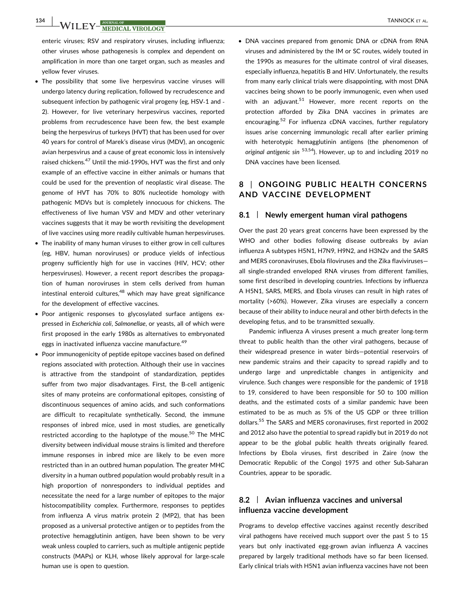enteric viruses; RSV and respiratory viruses, including influenza; other viruses whose pathogenesis is complex and dependent on amplification in more than one target organ, such as measles and yellow fever viruses.

- The possibility that some live herpesvirus vaccine viruses will undergo latency during replication, followed by recrudescence and subsequent infection by pathogenic viral progeny (eg, HSV‐1 and ‐ 2). However, for live veterinary herpesvirus vaccines, reported problems from recrudescence have been few, the best example being the herpesvirus of turkeys (HVT) that has been used for over 40 years for control of Marek's disease virus (MDV), an oncogenic avian herpesvirus and a cause of great economic loss in intensively raised chickens.<sup>47</sup> Until the mid-1990s, HVT was the first and only example of an effective vaccine in either animals or humans that could be used for the prevention of neoplastic viral disease. The genome of HVT has 70% to 80% nucleotide homology with pathogenic MDVs but is completely innocuous for chickens. The effectiveness of live human VSV and MDV and other veterinary vaccines suggests that it may be worth revisiting the development of live vaccines using more readily cultivable human herpesviruses.
- The inability of many human viruses to either grow in cell cultures (eg, HBV, human noroviruses) or produce yields of infectious progeny sufficiently high for use in vaccines (HIV, HCV; other herpesviruses). However, a recent report describes the propagation of human noroviruses in stem cells derived from human intestinal enteroid cultures, $48$  which may have great significance for the development of effective vaccines.
- Poor antigenic responses to glycosylated surface antigens expressed in Escherichia coli, Salmonellae, or yeasts, all of which were first proposed in the early 1980s as alternatives to embryonated eggs in inactivated influenza vaccine manufacture.<sup>49</sup>
- Poor immunogenicity of peptide epitope vaccines based on defined regions associated with protection. Although their use in vaccines is attractive from the standpoint of standardization, peptides suffer from two major disadvantages. First, the B-cell antigenic sites of many proteins are conformational epitopes, consisting of discontinuous sequences of amino acids, and such conformations are difficult to recapitulate synthetically. Second, the immune responses of inbred mice, used in most studies, are genetically restricted according to the haplotype of the mouse.<sup>50</sup> The MHC diversity between individual mouse strains is limited and therefore immune responses in inbred mice are likely to be even more restricted than in an outbred human population. The greater MHC diversity in a human outbred population would probably result in a high proportion of nonresponders to individual peptides and necessitate the need for a large number of epitopes to the major histocompatibility complex. Furthermore, responses to peptides from influenza A virus matrix protein 2 (MP2), that has been proposed as a universal protective antigen or to peptides from the protective hemagglutinin antigen, have been shown to be very weak unless coupled to carriers, such as multiple antigenic peptide constructs (MAPs) or KLH, whose likely approval for large‐scale human use is open to question.

• DNA vaccines prepared from genomic DNA or cDNA from RNA viruses and administered by the IM or SC routes, widely touted in the 1990s as measures for the ultimate control of viral diseases, especially influenza, hepatitis B and HIV. Unfortunately, the results from many early clinical trials were disappointing, with most DNA vaccines being shown to be poorly immunogenic, even when used with an adjuvant.<sup>51</sup> However, more recent reports on the protection afforded by Zika DNA vaccines in primates are encouraging.<sup>52</sup> For influenza cDNA vaccines, further regulatory issues arise concerning immunologic recall after earlier priming with heterotypic hemagglutinin antigens (the phenomenon of original antigenic sin  $53,54$ ). However, up to and including 2019 no DNA vaccines have been licensed.

## 8 | ONGOING PUBLIC HEALTH CONCERNS AND VACCINE DEVELOPMENT

#### 8.1 | Newly emergent human viral pathogens

Over the past 20 years great concerns have been expressed by the WHO and other bodies following disease outbreaks by avian influenza A subtypes H5N1, H7N9, H9N2, and H3N2v and the SARS and MERS coronaviruses, Ebola filoviruses and the Zika flaviviruses all single‐stranded enveloped RNA viruses from different families, some first described in developing countries. Infections by influenza A H5N1, SARS, MERS, and Ebola viruses can result in high rates of mortality (>60%). However, Zika viruses are especially a concern because of their ability to induce neural and other birth defects in the developing fetus, and to be transmitted sexually.

Pandemic influenza A viruses present a much greater long‐term threat to public health than the other viral pathogens, because of their widespread presence in water birds—potential reservoirs of new pandemic strains and their capacity to spread rapidly and to undergo large and unpredictable changes in antigenicity and virulence. Such changes were responsible for the pandemic of 1918 to 19, considered to have been responsible for 50 to 100 million deaths, and the estimated costs of a similar pandemic have been estimated to be as much as 5% of the US GDP or three trillion dollars.<sup>55</sup> The SARS and MERS coronaviruses, first reported in 2002 and 2012 also have the potential to spread rapidly but in 2019 do not appear to be the global public health threats originally feared. Infections by Ebola viruses, first described in Zaire (now the Democratic Republic of the Congo) 1975 and other Sub‐Saharan Countries, appear to be sporadic.

## 8.2 | Avian influenza vaccines and universal influenza vaccine development

Programs to develop effective vaccines against recently described viral pathogens have received much support over the past 5 to 15 years but only inactivated egg-grown avian influenza A vaccines prepared by largely traditional methods have so far been licensed. Early clinical trials with H5N1 avian influenza vaccines have not been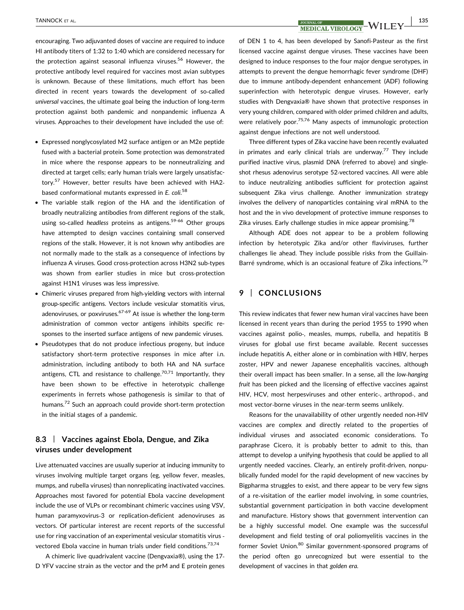# TANNOCK ET AL. | 135

encouraging. Two adjuvanted doses of vaccine are required to induce HI antibody titers of 1:32 to 1:40 which are considered necessary for the protection against seasonal influenza viruses.<sup>56</sup> However, the protective antibody level required for vaccines most avian subtypes is unknown. Because of these limitations, much effort has been directed in recent years towards the development of so-called universal vaccines, the ultimate goal being the induction of long‐term protection against both pandemic and nonpandemic influenza A viruses. Approaches to their development have included the use of:

- Expressed nonglycosylated M2 surface antigen or an M2e peptide fused with a bacterial protein. Some protection was demonstrated in mice where the response appears to be nonneutralizing and directed at target cells; early human trials were largely unsatisfactory.<sup>57</sup> However, better results have been achieved with HA2based conformational mutants expressed in E. coli.<sup>58</sup>
- The variable stalk region of the HA and the identification of broadly neutralizing antibodies from different regions of the stalk, using so-called headless proteins as antigens.<sup>59-66</sup> Other groups have attempted to design vaccines containing small conserved regions of the stalk. However, it is not known why antibodies are not normally made to the stalk as a consequence of infections by influenza A viruses. Good cross‐protection across H3N2 sub‐types was shown from earlier studies in mice but cross-protection against H1N1 viruses was less impressive.
- Chimeric viruses prepared from high‐yielding vectors with internal group‐specific antigens. Vectors include vesicular stomatitis virus, adenoviruses, or poxviruses. $67-69$  At issue is whether the long-term administration of common vector antigens inhibits specific responses to the inserted surface antigens of new pandemic viruses.
- Pseudotypes that do not produce infectious progeny, but induce satisfactory short-term protective responses in mice after i.n. administration, including antibody to both HA and NA surface antigens, CTL and resistance to challenge.<sup>70,71</sup> Importantly, they have been shown to be effective in heterotypic challenge experiments in ferrets whose pathogenesis is similar to that of humans.<sup>72</sup> Such an approach could provide short-term protection in the initial stages of a pandemic.

## 8.3 | Vaccines against Ebola, Dengue, and Zika viruses under development

Live attenuated vaccines are usually superior at inducing immunity to viruses involving multiple target organs (eg, yellow fever, measles, mumps, and rubella viruses) than nonreplicating inactivated vaccines. Approaches most favored for potential Ebola vaccine development include the use of VLPs or recombinant chimeric vaccines using VSV, human paramyxovirus‐3 or replication‐deficient adenoviruses as vectors. Of particular interest are recent reports of the successful use for ring vaccination of an experimental vesicular stomatitis virus ‐ vectored Ebola vaccine in human trials under field conditions.<sup>73,74</sup>

A chimeric live quadrivalent vaccine (Dengvaxia®), using the 17‐ D YFV vaccine strain as the vector and the prM and E protein genes

of DEN 1 to 4, has been developed by Sanofi‐Pasteur as the first licensed vaccine against dengue viruses. These vaccines have been designed to induce responses to the four major dengue serotypes, in attempts to prevent the dengue hemorrhagic fever syndrome (DHF) due to immune antibody‐dependent enhancement (ADF) following superinfection with heterotypic dengue viruses. However, early studies with Dengvaxia® have shown that protective responses in very young children, compared with older primed children and adults, were relatively poor.<sup>75,76</sup> Many aspects of immunologic protection against dengue infections are not well understood.

Three different types of Zika vaccine have been recently evaluated in primates and early clinical trials are underway.<sup>77</sup> They include purified inactive virus, plasmid DNA (referred to above) and singleshot rhesus adenovirus serotype 52‐vectored vaccines. All were able to induce neutralizing antibodies sufficient for protection against subsequent Zika virus challenge. Another immunization strategy involves the delivery of nanoparticles containing viral mRNA to the host and the in vivo development of protective immune responses to Zika viruses. Early challenge studies in mice appear promising.<sup>78</sup>

Although ADE does not appear to be a problem following infection by heterotypic Zika and/or other flaviviruses, further challenges lie ahead. They include possible risks from the Guillain‐ Barré syndrome, which is an occasional feature of Zika infections.<sup>79</sup>

## 9 | CONCLUSIONS

This review indicates that fewer new human viral vaccines have been licensed in recent years than during the period 1955 to 1990 when vaccines against polio‐, measles, mumps, rubella, and hepatitis B viruses for global use first became available. Recent successes include hepatitis A, either alone or in combination with HBV, herpes zoster, HPV and newer Japanese encephalitis vaccines, although their overall impact has been smaller. In a sense, all the low‐hanging fruit has been picked and the licensing of effective vaccines against HIV, HCV, most herpesviruses and other enteric‐, arthropod‐, and most vector‐borne viruses in the near‐term seems unlikely.

Reasons for the unavailability of other urgently needed non‐HIV vaccines are complex and directly related to the properties of individual viruses and associated economic considerations. To paraphrase Cicero, it is probably better to admit to this, than attempt to develop a unifying hypothesis that could be applied to all urgently needed vaccines. Clearly, an entirely profit‐driven, nonpublically funded model for the rapid development of new vaccines by Bigpharma struggles to exist, and there appear to be very few signs of a re‐visitation of the earlier model involving, in some countries, substantial government participation in both vaccine development and manufacture. History shows that government intervention can be a highly successful model. One example was the successful development and field testing of oral poliomyelitis vaccines in the former Soviet Union.80 Similar government-sponsored programs of the period often go unrecognized but were essential to the development of vaccines in that golden era.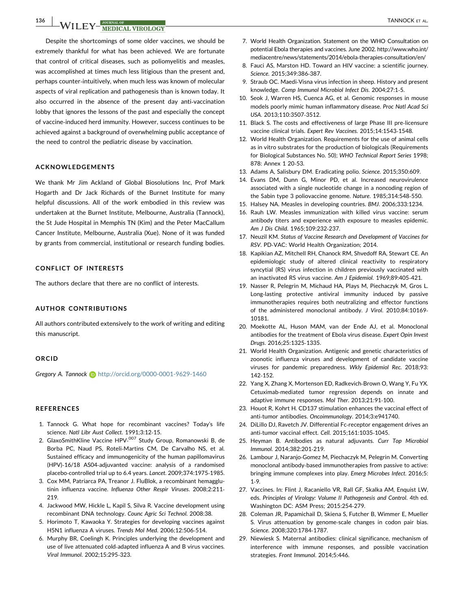Despite the shortcomings of some older vaccines, we should be extremely thankful for what has been achieved. We are fortunate that control of critical diseases, such as poliomyelitis and measles, was accomplished at times much less litigious than the present and, perhaps counter‐intuitively, when much less was known of molecular aspects of viral replication and pathogenesis than is known today. It also occurred in the absence of the present day anti‐vaccination lobby that ignores the lessons of the past and especially the concept of vaccine‐induced herd immunity. However, success continues to be achieved against a background of overwhelming public acceptance of the need to control the pediatric disease by vaccination.

#### ACKNOWLEDGEMENTS

We thank Mr Jim Ackland of Global Biosolutions Inc, Prof Mark Hogarth and Dr Jack Richards of the Burnet Institute for many helpful discussions. All of the work embodied in this review was undertaken at the Burnet Institute, Melbourne, Australia (Tannock), the St Jude Hospital in Memphis TN (Kim) and the Peter MacCallum Cancer Institute, Melbourne, Australia (Xue). None of it was funded by grants from commercial, institutional or research funding bodies.

#### CONFLICT OF INTERESTS

The authors declare that there are no conflict of interests.

### AUTHOR CONTRIBUTIONS

All authors contributed extensively to the work of writing and editing this manuscript.

#### **ORCID**

Gregory A. Tannock **b** <http://orcid.org/0000-0001-9629-1460>

#### **REFERENCES**

- 1. Tannock G. What hope for recombinant vaccines? Today's life science. Natl Libr Aust Collect. 1991;3:12‐15.
- 2. GlaxoSmithKline Vaccine HPV-<sup>007</sup> Study Group, Romanowski B, de Borba PC, Naud PS, Roteli‐Martins CM, De Carvalho NS, et al. Sustained efficacy and immunogenicity of the human papillomavirus (HPV)‐16/18 AS04‐adjuvanted vaccine: analysis of a randomised placebo‐controlled trial up to 6.4 years. Lancet. 2009;374:1975‐1985.
- 3. Cox MM, Patriarca PA, Treanor J. FluBlok, a recombinant hemagglutinin influenza vaccine. Influenza Other Respir Viruses. 2008;2:211‐ 219.
- 4. Jackwood MW, Hickle L, Kapil S, Silva R. Vaccine development using recombinant DNA technology. Counc Agric Sci Technol. 2008:38.
- 5. Horimoto T, Kawaoka Y. Strategies for developing vaccines against H5N1 influenza A viruses. Trends Mol Med. 2006;12:506‐514.
- 6. Murphy BR, Coelingh K. Principles underlying the development and use of live attenuated cold‐adapted influenza A and B virus vaccines. Viral Immunol. 2002;15:295‐323.
- 7. World Health Organization. Statement on the WHO Consultation on potential Ebola therapies and vaccines. June 2002. [http://www.who.int/](http://www.who.int/mediacentre/news/statements/2014/ebola-therapies-consultation/en/) [mediacentre/news/statements/2014/ebola](http://www.who.int/mediacentre/news/statements/2014/ebola-therapies-consultation/en/)‐therapies‐consultation/en/
- 8. Fauci AS, Marston HD. Toward an HIV vaccine: a scientific journey. Science. 2015;349:386‐387.
- 9. Straub OC. Maedi‐Visna virus infection in sheep. History and present knowledge. Comp Immunol Microbiol Infect Dis. 2004;27:1‐5.
- 10. Seok J, Warren HS, Cuenca AG, et al. Genomic responses in mouse models poorly mimic human inflammatory disease. Proc Natl Acad Sci USA. 2013;110:3507‐3512.
- 11. Black S. The costs and effectiveness of large Phase III pre‐licensure vaccine clinical trials. Expert Rev Vaccines. 2015;14:1543‐1548.
- 12. World Health Organization. Requirements for the use of animal cells as in vitro substrates for the production of biologicals (Requirements for Biological Substances No. 50); WHO Technical Report Series 1998; 878: Annex 1 20‐53.
- 13. Adams A, Salisbury DM. Eradicating polio. Science. 2015;350:609.
- 14. Evans DM, Dunn G, Minor PD, et al. Increased neurovirulence associated with a single nucleotide change in a noncoding region of the Sabin type 3 poliovaccine genome. Nature. 1985;314:548‐550.
- 15. Halsey NA. Measles in developing countries. BMJ. 2006;333:1234.
- 16. Rauh LW. Measles immunization with killed virus vaccine: serum antibody titers and experience with exposure to measles epidemic. Am J Dis Child. 1965;109:232‐237.
- 17. Neuzil KM. Status of Vaccine Research and Development of Vaccines for RSV. PD‐VAC: World Health Organization; 2014.
- 18. Kapikian AZ, Mitchell RH, Chanock RM, Shvedoff RA, Stewart CE. An epidemiologic study of altered clinical reactivity to respiratory syncytial (RS) virus infection in children previously vaccinated with an inactivated RS virus vaccine. Am J Epidemiol. 1969;89:405‐421.
- 19. Nasser R, Pelegrin M, Michaud HA, Plays M, Piechaczyk M, Gros L. Long-lasting protective antiviral immunity induced by passive immunotherapies requires both neutralizing and effector functions of the administered monoclonal antibody. J Virol. 2010;84:10169‐ 10181.
- 20. Moekotte AL, Huson MAM, van der Ende AJ, et al. Monoclonal antibodies for the treatment of Ebola virus disease. Expert Opin Invest Drugs. 2016;25:1325‐1335.
- 21. World Health Organization. Antigenic and genetic characteristics of zoonotic influenza viruses and development of candidate vaccine viruses for pandemic preparedness. Wkly Epidemiol Rec. 2018;93: 142‐152.
- 22. Yang X, Zhang X, Mortenson ED, Radkevich‐Brown O, Wang Y, Fu YX. Cetuximab‐mediated tumor regression depends on innate and adaptive immune responses. Mol Ther. 2013;21:91‐100.
- 23. Houot R, Kohrt H. CD137 stimulation enhances the vaccinal effect of anti-tumor antibodies. Oncoimmunology. 2014;3:e941740.
- 24. DiLillo DJ, Ravetch JV. Differential Fc‐receptor engagement drives an anti‐tumor vaccinal effect. Cell. 2015;161:1035‐1045.
- 25. Heyman B. Antibodies as natural adjuvants. Curr Top Microbiol Immunol. 2014;382:201‐219.
- 26. Lambour J, Naranjo‐Gomez M, Piechaczyk M, Pelegrin M. Converting monoclonal antibody‐based immunotherapies from passive to active: bringing immune complexes into play. Emerg Microbes Infect. 2016;5: 1‐9.
- 27. Vaccines. In: Flint J, Racaniello VR, Rall GF, Skalka AM, Enquist LW, eds. Principles of Virology: Volume II Pathogenesis and Control. 4th ed. Washington DC: ASM Press; 2015:254‐279.
- 28. Coleman JR, Papamichail D, Skiena S, Futcher B, Wimmer E, Mueller S. Virus attenuation by genome‐scale changes in codon pair bias. Science. 2008;320:1784‐1787.
- 29. Niewiesk S. Maternal antibodies: clinical significance, mechanism of interference with immune responses, and possible vaccination strategies. Front Immunol. 2014;5:446.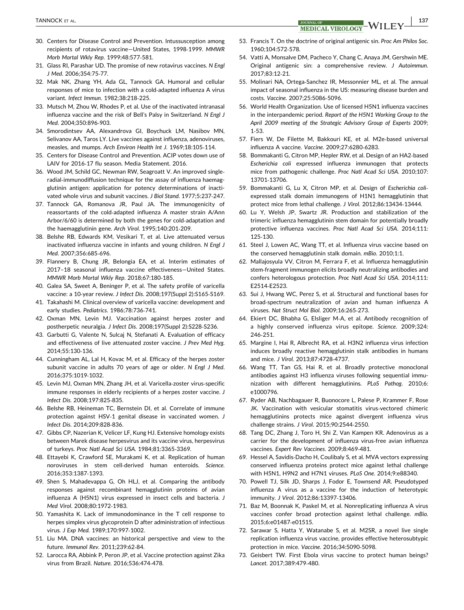- 30. Centers for Disease Control and Prevention. Intussusception among recipients of rotavirus vaccine—United States, 1998‐1999. MMWR Morb Mortal Wkly Rep. 1999;48:577‐581.
- 31. Glass RI, Parashar UD. The promise of new rotavirus vaccines. N Engl J Med. 2006;354:75‐77.
- 32. Mak NK, Zhang YH, Ada GL, Tannock GA. Humoral and cellular responses of mice to infection with a cold‐adapted influenza A virus variant. Infect Immun. 1982;38:218‐225.
- 33. Mutsch M, Zhou W, Rhodes P, et al. Use of the inactivated intranasal influenza vaccine and the risk of Bell's Palsy in Switzerland. N Engl J Med. 2004;350:896‐903.
- 34. Smorodintsev AA, Alexandrova GI, Boychuck LM, Nasibov MN, Selivanov AA, Taros LY. Live vaccines against influenza, adenoviruses, measles, and mumps. Arch Environ Health Int J. 1969;18:105‐114.
- 35. Centers for Disease Control and Prevention. ACIP votes down use of LAIV for 2016‐17 flu season. Media Statement. 2016.
- 36. Wood JM, Schild GC, Newman RW, Seagroatt V. An improved single‐ radial‐immunodiffusion technique for the assay of influenza haemagglutinin antigen: application for potency determinations of inactivated whole virus and subunit vaccines. J Biol Stand. 1977;5:237‐247.
- 37. Tannock GA, Romanova JR, Paul JA. The immunogenicity of reassortants of the cold‐adapted influenza A master strain A/Ann Arbor/6/60 is determined by both the genes for cold‐adaptation and the haemagglutinin gene. Arch Virol. 1995;140:201‐209.
- 38. Belshe RB, Edwards KM, Vesikari T, et al. Live attenuated versus inactivated influenza vaccine in infants and young children. N Engl J Med. 2007;356:685‐696.
- 39. Flannery B, Chung JR, Belongia EA, et al. Interim estimates of 2017–18 seasonal influenza vaccine effectiveness—United States. MMWR Morb Mortal Wkly Rep. 2018;67:180‐185.
- 40. Galea SA, Sweet A, Beninger P, et al. The safety profile of varicella vaccine: a 10‐year review. J Infect Dis. 2008;197(Suppl 2):S165‐S169.
- 41. Takahashi M. Clinical overview of varicella vaccine: development and early studies. Pediatrics. 1986;78:736‐741.
- 42. Oxman MN, Levin MJ. Vaccination against herpes zoster and postherpetic neuralgia. J Infect Dis. 2008;197(Suppl 2):S228‐S236.
- 43. Garbutti G, Valente N, Sulcaj N, Stefanati A. Evaluation of efficacy and effectiveness of live attenuated zoster vaccine. J Prev Med Hyg. 2014;55:130‐136.
- 44. Cunningham AL, Lal H, Kovac M, et al. Efficacy of the herpes zoster subunit vaccine in adults 70 years of age or older. N Engl J Med. 2016;375:1019‐1032.
- 45. Levin MJ, Oxman MN, Zhang JH, et al. Varicella‐zoster virus‐specific immune responses in elderly recipients of a herpes zoster vaccine. J Infect Dis. 2008;197:825‐835.
- 46. Belshe RB, Heineman TC, Bernstein DI, et al. Correlate of immune protection against HSV-1 genital disease in vaccinated women. J Infect Dis. 2014;209:828‐836.
- 47. Gibbs CP, Nazerian K, Velicer LF, Kung HJ. Extensive homology exists between Marek disease herpesvirus and its vaccine virus, herpesvirus of turkeys. Proc Natl Acad Sci USA. 1984;81:3365‐3369.
- 48. Ettayebi K, Crawford SE, Murakami K, et al. Replication of human noroviruses in stem cell‐derived human enteroids. Science. 2016;353:1387‐1393.
- 49. Shen S, Mahadevappa G, Oh HLJ, et al. Comparing the antibody responses against recombinant hemagglutinin proteins of avian influenza A (H5N1) virus expressed in insect cells and bacteria. J Med Virol. 2008;80:1972‐1983.
- 50. Yamashita K. Lack of immunodominance in the T cell response to herpes simplex virus glycoprotein D after administration of infectious virus. J Exp Med. 1989;170:997‐1002.
- 51. Liu MA. DNA vaccines: an historical perspective and view to the future. Immunol Rev. 2011;239:62‐84.
- 52. Larocca RA, Abbink P, Peron JP, et al. Vaccine protection against Zika virus from Brazil. Nature. 2016;536:474‐478.
- 53. Francis T. On the doctrine of original antigenic sin. Proc Am Philos Soc. 1960;104:572‐578.
- 54. Vatti A, Monsalve DM, Pacheco Y, Chang C, Anaya JM, Gershwin ME. Original antigenic sin: a comprehensive review. J Autoimmun. 2017;83:12‐21.
- 55. Molinari NA, Ortega‐Sanchez IR, Messonnier ML, et al. The annual impact of seasonal influenza in the US: measuring disease burden and costs. Vaccine. 2007;25:5086‐5096.
- 56. World Health Organization. Use of licensed H5N1 influenza vaccines in the interpandemic period. Report of the H5N1 Working Group to the April 2009 meeting of the Strategic Advisory Group of Experts 2009; 1‐53.
- 57. Fiers W, De Filette M, Bakkouri KE, et al. M2e‐based universal influenza A vaccine. Vaccine. 2009;27:6280‐6283.
- 58. Bommakanti G, Citron MP, Hepler RW, et al. Design of an HA2‐based Escherichia coli expressed influenza immunogen that protects mice from pathogenic challenge. Proc Natl Acad Sci USA. 2010;107: 13701‐13706.
- 59. Bommakanti G, Lu X, Citron MP, et al. Design of Escherichia coliexpressed stalk domain immunogens of H1N1 hemagglutinin that protect mice from lethal challenge. J Virol. 2012;86:13434‐13444.
- 60. Lu Y, Welsh JP, Swartz JR. Production and stabilization of the trimeric influenza hemagglutinin stem domain for potentially broadly protective influenza vaccines. Proc Natl Acad Sci USA. 2014;111: 125‐130.
- 61. Steel J, Lowen AC, Wang TT, et al. Influenza virus vaccine based on the conserved hemagglutinin stalk domain. mBio. 2010;1:1.
- 62. Mallajosyula VV, Citron M, Ferrara F, et al. Influenza hemagglutinin stem‐fragment immunogen elicits broadly neutralizing antibodies and confers heterologous protection. Proc Natl Acad Sci USA. 2014;111: E2514‐E2523.
- 63. Sui J, Hwang WC, Perez S, et al. Structural and functional bases for broad‐spectrum neutralization of avian and human influenza A viruses. Nat Struct Mol Biol. 2009;16:265‐273.
- 64. Ekiert DC, Bhabha G, Elsliger M‐A, et al. Antibody recognition of a highly conserved influenza virus epitope. Science. 2009;324: 246‐251.
- 65. Margine I, Hai R, Albrecht RA, et al. H3N2 influenza virus infection induces broadly reactive hemagglutinin stalk antibodies in humans and mice. J Virol. 2013;87:4728‐4737.
- 66. Wang TT, Tan GS, Hai R, et al. Broadly protective monoclonal antibodies against H3 influenza viruses following sequential immunization with different hemagglutinins. PLoS Pathog. 2010;6: e1000796.
- 67. Ryder AB, Nachbagauer R, Buonocore L, Palese P, Krammer F, Rose JK. Vaccination with vesicular stomatitis virus‐vectored chimeric hemagglutinins protects mice against divergent influenza virus challenge strains. J Virol. 2015;90:2544‐2550.
- 68. Tang DC, Zhang J, Toro H, Shi Z, Van Kampen KR. Adenovirus as a carrier for the development of influenza virus‐free avian influenza vaccines. Expert Rev Vaccines. 2009;8:469‐481.
- 69. Hessel A, Savidis‐Dacho H, Coulibaly S, et al. MVA vectors expressing conserved influenza proteins protect mice against lethal challenge with H5N1, H9N2 and H7N1 viruses. PLoS One. 2014;9:e88340.
- 70. Powell TJ, Silk JD, Sharps J, Fodor E, Townsend AR. Pseudotyped influenza A virus as a vaccine for the induction of heterotypic immunity. J Virol. 2012;86:13397‐13406.
- 71. Baz M, Boonnak K, Paskel M, et al. Nonreplicating influenza A virus vaccines confer broad protection against lethal challenge. mBio. 2015;6:e01487‐e01515.
- 72. Sarawar S, Hatta Y, Watanabe S, et al. M2SR, a novel live single replication influenza virus vaccine, provides effective heterosubtypic protection in mice. Vaccine. 2016;34:5090‐5098.
- 73. Geisbert TW. First Ebola virus vaccine to protect human beings? Lancet. 2017;389:479‐480.